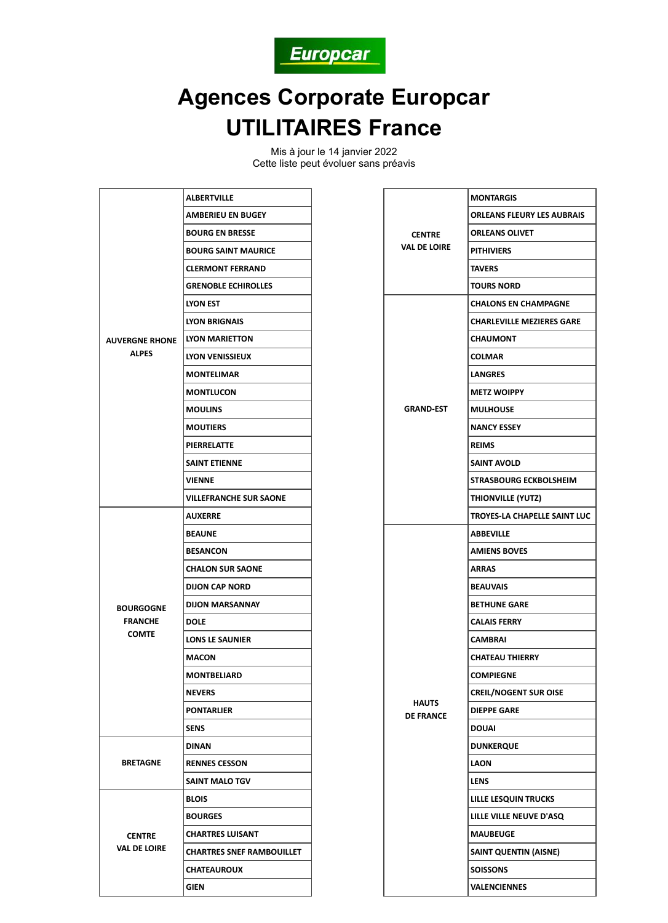

## **Agences Corporate Europcar UTILITAIRES France**

Mis à jour le 14 janvier 2022 Cette liste peut évoluer sans préavis

| <b>AUVERGNE RHONE</b><br><b>ALPES</b>              | <b>ALBERTVILLE</b>               |
|----------------------------------------------------|----------------------------------|
|                                                    | <b>AMBERIEU EN BUGEY</b>         |
|                                                    | <b>BOURG EN BRESSE</b>           |
|                                                    | <b>BOURG SAINT MAURICE</b>       |
|                                                    | <b>CLERMONT FERRAND</b>          |
|                                                    | <b>GRENOBLE ECHIROLLES</b>       |
|                                                    | <b>LYON EST</b>                  |
|                                                    | LYON BRIGNAIS                    |
|                                                    | LYON MARIETTON                   |
|                                                    | LYON VENISSIEUX                  |
|                                                    | <b>MONTELIMAR</b>                |
|                                                    | <b>MONTLUCON</b>                 |
|                                                    | <b>MOULINS</b>                   |
|                                                    | <b>MOUTIERS</b>                  |
|                                                    | <b>PIERRELATTE</b>               |
|                                                    | <b>SAINT ETIENNE</b>             |
|                                                    | <b>VIENNE</b>                    |
|                                                    | <b>VILLEFRANCHE SUR SAONE</b>    |
|                                                    | <b>AUXERRE</b>                   |
| <b>BOURGOGNE</b><br><b>FRANCHE</b><br><b>COMTE</b> | <b>BEAUNE</b>                    |
|                                                    | <b>BESANCON</b>                  |
|                                                    | <b>CHALON SUR SAONE</b>          |
|                                                    | <b>DIJON CAP NORD</b>            |
|                                                    | <b>DIJON MARSANNAY</b>           |
|                                                    | <b>DOLE</b>                      |
|                                                    | <b>LONS LE SAUNIER</b>           |
|                                                    | MACON                            |
|                                                    | <b>MONTBELIARD</b>               |
|                                                    | NEVERS                           |
|                                                    | <b>PONTARLIER</b>                |
|                                                    | <b>SENS</b>                      |
| <b>BRETAGNE</b>                                    | <b>DINAN</b>                     |
|                                                    | <b>RENNES CESSON</b>             |
|                                                    | <b>SAINT MALO TGV</b>            |
|                                                    | <b>BLOIS</b>                     |
|                                                    | <b>BOURGES</b>                   |
| <b>CENTRE</b><br>VAL DE LOIRE                      | <b>CHARTRES LUISANT</b>          |
|                                                    | <b>CHARTRES SNEF RAMBOUILLET</b> |
|                                                    | <b>CHATEAUROUX</b>               |
|                                                    | GIEN                             |

| <b>CENTRE</b><br><b>VAL DE LOIRE</b> | <b>MONTARGIS</b>                  |
|--------------------------------------|-----------------------------------|
|                                      | <b>ORLEANS FLEURY LES AUBRAIS</b> |
|                                      | <b>ORLEANS OLIVET</b>             |
|                                      | <b>PITHIVIERS</b>                 |
|                                      | <b>TAVERS</b>                     |
|                                      | <b>TOURS NORD</b>                 |
|                                      | <b>CHALONS EN CHAMPAGNE</b>       |
|                                      | <b>CHARLEVILLE MEZIERES GARE</b>  |
|                                      | <b>CHAUMONT</b>                   |
|                                      | COLMAR                            |
|                                      | <b>LANGRES</b>                    |
| <b>GRAND EST</b>                     | <b>METZ WOIPPY</b>                |
|                                      | <b>MULHOUSE</b>                   |
|                                      | <b>NANCY ESSEY</b>                |
|                                      | <b>REIMS</b>                      |
|                                      | <b>SAINT AVOLD</b>                |
|                                      | STRASBOURG ECKBOLSHEIM            |
|                                      | THIONVILLE (YUTZ)                 |
|                                      | TROYES-LA CHAPELLE SAINT LUC      |
|                                      | <b>ABBEVILLE</b>                  |
|                                      | <b>AMIENS BOVES</b>               |
|                                      | <b>ARRAS</b>                      |
|                                      | <b>BEAUVAIS</b>                   |
|                                      | <b>BETHUNE GARE</b>               |
|                                      | <b>CALAIS FERRY</b>               |
|                                      | CAMBRAI                           |
|                                      | <b>CHATEAU THIERRY</b>            |
|                                      | COMPIEGNE                         |
|                                      | <b>CREIL/NOGENT SUR OISE</b>      |
| <b>HAUTS</b><br><b>DE FRANCE</b>     | <b>DIEPPE GARE</b>                |
|                                      | <b>DOUAI</b>                      |
|                                      | DUNKERQUE                         |
|                                      | <b>LAON</b>                       |
|                                      | LENS                              |
|                                      | LILLE LESQUIN TRUCKS              |
|                                      | LILLE VILLE NEUVE D'ASQ           |
|                                      | <b>MAUBEUGE</b>                   |
|                                      | SAINT QUENTIN (AISNE)             |
|                                      | SOISSONS                          |
|                                      | VALENCIENNES                      |